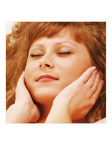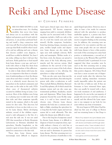# Reiki and Lyme Disease

# BY CORINNE FEINBERG

EIKI HAS BEEN KNOWN to work<br>in miraculous ways. As a healing<br>modality that never does harm in miraculous ways. As a healing and always acts in accordance with the highest and greatest good of each individual person, it can produce profound healing and instill a deep connection with one's true self. But if you had told me three years ago that Reiki would be what I needed to end my suffering and cure a disease that doctors couldn't even diagnose, I would have scoffed in disbelief. Yet, here I am today, telling you that it did just that and more. Reiki guided me to heal myself from Lyme disease a year ago, and now I work with others to help free them from the imprisoning burdens of this affliction.

In order to help clients with Lyme disease, it is imperative that there is a foundation of understanding as to how the disease came about and what it entails. <sup>1</sup> Lyme disease is a relatively recent discovery for researchers in the medical community and first came on the radar in the early 1970s when cases of rheumatoid arthritis occurred in children living in Lyme, Connecticut. Most of the children were living in or playing near wooded areas rife with deer ticks and their symptoms typically started in the summer, which is the peak season for deer ticks. This discovery led researchers to focus on deer ticks as a vector for Lyme disease. Before developing arthritis, several of the children experienced a rash subsequent to the bite of a tick near the rash site. It was not until 1981 that researchers at Rocky Mountain Laboratories in Montana identified the spirochete, Borellia burgdorferi, as the causative agent in Lyme disease and determined its connection to the deer tick.

These days, Lyme disease seems increasingly more difficult to diagnose based upon clinical signs since there are approximately 300 known symptoms ranging from mild to extremely debilitating that can be associated with it. Some symptoms include a bull's-eye rash at the site of a tick bite (rarely seen and easily missed), flu-like symptoms, headaches, brain fog, fainting, fatigue, insomnia, joint pain, swollen lymph nodes and depression. Lyme disease can also mimic the signs seen with multiple sclerosis, Bell's palsy and meningitis. Within weeks of a bite from a tick, the disease can spread to other areas of the body affecting joints, muscles and the nervous system. Ideal conditions for the survival of the Lyme organism occur in areas of the body where tissue oxygenation is low, allowing the spirochete to adapt and multiply.

Ticks can also carry more than just the Lyme disease spirochetes, thus infecting the person with other co-infections as well. These include Babesia, Ehrlichia, Bartonella and Mycoplasma, all of which attack the immune system and can also cause gastrointestinal problems, headaches, muscle pain and depression. When Lyme disease progresses beyond the acute flu-like symptoms, it is said to have entered into a chronic state. Chronic Lyme disease immerses the body into a constant state of fight or flight, attacking the spirochete for so long that the body's organs and nervous system fail to work efficiently. This also makes the disease more difficult to treat.

Due to the long list of symptoms caused by chronic Lyme disease, it is difficult to diagnose it based on symptoms alone, especially without a history of a tick bite or bulls-eye rash occurring. Currently, blood tests are used to determine if a person has Lyme disease. The first screening test is to check for the presence of antibodies to the spiral-shaped spirochete. However, since it takes at least a few weeks for someone infected with the spirochete to produce antibodies against it, a person may have active Lyme disease with symptoms and receive a negative finding on the screening test. In addition, the screening tests are designed to be very sensitive and this can cause some people who are not infected with Lyme disease to have a false positive test result. If the screening test comes back positive or indeterminate, a second set of tests known as the Western Blot and PCR tests (IGeneX Labs)<sup>2</sup> is performed. It is not suggested that these secondary tests be used as the first screening tests as using them alone can increase the potential for a false positive diagnosis. All of these blood tests have a more accurate rate of diagnosis several weeks after the infection has occurred, making immediate treatment nearly impossible unless the patient saw the tick bite or bulls-eye rash. If they are fortunate to have witnessed these signs, they can usually be treated with a short, two-week treatment of oral antibiotics. I happened to be one in the vast majority of people who never saw a tick bite or rash on myself, and this allowed the Lyme organism to run rampant in my body for two years without any form of treatment.

My story began in 2008 when I had finished my first year of college in Boston and was returning home to San Diego to

<sup>1</sup> Most of my research into Lyme disease came about through conversations and interviews with doctors and healers and through extensive research online. I have included a list of references at the end of this article for readers who wish to know more from some of the sources I used.

<sup>2</sup> www.igenex.com/innovations3.pdf.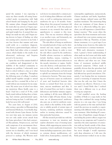spend the summer. I was expecting to enjoy my three months off eating homecooked meals, reconnecting with high school friends and lounging by the pool. My summer plans changed immediately the week after my arrival as I began experiencing stomach pains, light-headedness and rapid weight loss. It seemed that anything I ate made me sick, and I began seeing doctors in hopes of finding out what was causing such a reaction in my body. I saw four doctors that summer and none could settle on a conclusive diagnosis. One doctor, a gastroenterologist, told me I most likely had either colon or stomach cancer, which thanks to the results of an ultrasound, endoscopy and biopsies proved to be incorrect.

I spent the rest of the summer fearful of my condition and disappointed at the inability of the medical community to diagnose my problem. I reluctantly went back to school without a clue as to what was causing my symptoms. Throughout the following years of college, I somehow pulled myself together enough to attend classes and live a normal life as best as I could without any treatment for my symptoms. My senior year of school was when my mysterious illness finally came to a head. I had lost a total of 35 lbs, could barely stand without feeling dizzy or fainting, had extreme gastrointestinal upset, and was losing my hair. I could sleep endlessly but never felt well-rested.

Two years later, in August of 2010, after seeing a specialist in Rheumatology and Internal Medicine, I was finally diagnosed with chronic Lyme disease. In that two year time span, my immune system was not only under severe attack from the Lyme spirochete; I also had contracted Mycoplasma, Streptococcus, and had early symptoms of an autoimmune disorder, Sjögren's syndrome. <sup>3</sup> My immune system was in shambles, and I was faced with the decision of which treatment protocol to undergo. My Western medical doctor recommended a common protocol of taking three different oral antibiotics, as well as undergoing intravenous antibiotics for up to 16 months. Something about this proposed treatment did not sit well with me. I felt this physical sensation in my stomach that made me apprehensive to commit to this treatment. This was my intuition telling me to go another route, and fortunately, my parents supported my gut reaction.

The side effects of being on antibiotics for extended periods of time can be detrimental and may require ceasing treatment for Lyme disease in order to treat the side effects caused by the antibiotics. Possible adverse reactions to antibiotics include diarrhea, nausea, vomiting, C. defficile infections and yeast infections in the mouth, intestines or vagina. Antibiotics also destroy a wide spectrum of bacteria in the body, unable to discriminate between the good bacteria our body needs to uphold our immunity from the foreign or destructive bacteria. This mass sweeping out of bacteria causes an eradication of yeast and beneficial bacteria (also known as normal flora) from our intestines, mucous membranes and skin. A lack of normal flora can lead to vitamin deficiencies and further immune suppression, making it all the more difficult for the body to fight off Lyme disease. Longterm use of pharmaceutical antibiotics also puts one at risk for antibiotic resistance, which is the inability of the antibiotic to inhibit growth of certain types of bacteria, rendering antibiotic treatment useless in treating infections caused by that particular bacterium.

All this research provided me with the reassurance to trust my intuition and explore alternative ways of treating Lyme disease, while supporting my system in the meantime. I tried a multitude of treatment forms including acupuncture, juice cleanses, extreme dietary modifications, colloidal silver, homeopathics, essential oils, naturopathic supplements, nutraceuticals, Chinese medicine and herbs, hyperbaric oxygen therapy, infrared sauna and Rife machine treatment. The interesting thing about any treatment of Lyme disease is that if it is effectively killing the spirochete, you will experience a Jarisch-Herxheimer reaction. <sup>4</sup> This occurs when the spirochete dies from treatment and toxins are released into your system causing your symptoms to flare up. Therefore, in Lyme disease treatment, it is a good sign if you are feeling worse; however, this makes for poor motivation to continue treatment.

With each alternative treatment I tried, I gained a better understanding of what made me feel worse and what made me feel the same; or in other words, what was effective and what was not. Some forms of treatment produced mildly increased symptoms. Others made it painfully obvious that the spirochete had infiltrated my neurological system and had affected my speech articulation. Ultimately, I was hoping that my treatments caused a worsening of symptoms because that was the only way that I knew the treatment was effective. However, it was not until I found Reiki that I realized there was a different way to go about treating my symptoms.

I had stumbled across the healing modality of Reiki at a yoga studio in San Diego that combined the energy healing practice in a yin yoga class. I was living with my parents at the time and had dedicated the previous six months to experimenting with different forms of Lyme disease treatment. After finishing 42 consecutive days of hyperbaric oxygen therapy, I was feeling the positive effects oxygen was having on my symptoms and I wanted to reproduce the same experience of connection with my breath outside of the chamber. I had hoped to find my breath at yoga, but never thought I would experience such deep relaxation as I did once the Reiki practitioner worked on me in class.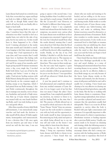Lyme disease had turned on a switch in my body that overworked my organs and kept my body in a fight or flight mode. I honestly felt as though Reiki turned that switch off and my body was finally able to begin to heal itself.

After experiencing Reiki in only one class, I somehow knew that this state of relaxation was what I needed to feel on a regular basis, not only for the sake of my pain, but for my sanity too. As fate would have it, there happened to be a Reiki Level I training advertised at the studio that same month and I decided to enroll. I was longing to feel that warm exchange of energy that I had experienced in the yoga class, and I was ecstatic that I could learn how to facilitate this feeling with self-treatments. I learned both Reiki Levels I and II in a span of two months, and I began giving myself 30-minute treatments twice a day, every single day. I invoked Reiki both before I got out of bed in the morning and before I went to sleep at night. I had private healing sessions with Reiki Masters during this span of time, but relied heavily on the constant supply of healing energy at my fingertips, which I had gained from my Reiki training. I also used Reiki continuously throughout the day to manage sore muscles, waves of nausea, headaches and periods of high stress. Any flare up of Lyme disease symptoms was treated with my own hands facilitating Reiki, and I was truly feeling its positive and gentle effects.

After three months of twice daily Reiki self-treatments, I was miraculously symptom-free and had made the decision to take myself off the almost 50 daily supplements, homeopathics and nutraceuticals. It was a decision that I felt once again from my intuitive gut and since it had served me well the first time, I was not

going to ignore it the second time. I was feeling healthier than I recalled ever feeling, and had so much energy. I finally felt like the 22-year-old I was! However, to feel healed is different than being cured.

Although I knew I was completely healed and released from the burden of my symptoms, my parents were curious what the Lyme disease tests would show as far as my progress was concerned. I agreed to get the tests but I detached myself from what the results showed, trusting that I cared more about how I felt than what the blood test detailed. Two months passed without a call from the doctor's office regarding my results. Finally, on the day of my 23rd birthday, I decided to call the doctor and see if my results were in. The response on the other end of the line was "Oh, I see them here. They came in three weeks ago. Yes, the test came back negative. I guess no one had called you because we don't need to schedule a follow-up appointment for you to see the doctor." I was speechless and still am whenever I think about that phone call.

A year has passed and I continue to feel phenomenal and completely released from any residual remnants of Lyme disease. It is no longer a part of me but that does not mean I forget the ashes I have emerged from. I am completely grateful for my intuition, my instinct to listen to it, and for finding Reiki at the time that I did. The practice of Reiki allowed me to see myself as whole and remove the title of "Lyme Disease Victim" from my persona. It gave me the tools needed to communicate with my body and the opportunity to look inside myself in deep introspection. Reconnecting my body, mind and spirit as one whole being allowed me to see my true self and work on the lesson I was being called to learn from this disease.

Now, being on the other side of things, I bring my experience healing Lyme disease with Reiki to clients in my own practice. I have found that my clients who are ready and wanting to be healed, and are willing to do the necessary internal work, experience wonderful and freeing results. Reiki works to soothe the physical pain of Lyme disease symptoms without any habit-forming side effects, and works in subduing Herxheimer reactions caused by alternative or pharmaceutical forms of treatment. Reiki does wonders to soothe nausea, chronic fatigue and insomnia. It also works on an emotional level to shed light on traumas or patterns that are inhibiting the client from healing. Mentally, Reiki works to calm the mind so that deep relaxation can occur and the body can begin to heal itself from the inside out.

I have found that my clients with Lyme disease have blockages specifically in the root and sacral chakras, as a sense of belonging and emotional release have been recurring themes in my sessions. The solar plexus can also be an effective chakra to focus Reiki energy on, not only because of the havoc Lyme disease wreaks on the intestines and stomach, but also because a sense of self-power and belief in one's self is usually low or lacking. I have found aura clearing to be very effective in clearing out both living and dead spirochetes, especially in the brain. But the key to working with Lyme disease clients is consistency. Keeping their energy replenished, clear and positive provides a physical and mental environment that the spirochetes usually find inhospitable. There is no room for all that negativity to survive when the body is flooded with pure light consciousness and awareness. It is especially important to offer a Reiki session if a client is experiencing a Herxheimer reaction or healing response after a previous Reiki session. Usually, one session tends to be focused on cleansing and clearing, while the following session is more supportive and regenerative. I also encourage clients who feel a strong connection with the healing practice of Reiki and who want to experience this level of

<sup>3</sup> en.wikipedia.org/wiki/Sjögren's\_syndrome.

<sup>4</sup> en.wikipedia.org/wiki/Jarisch-Herxheimer\_reaction.